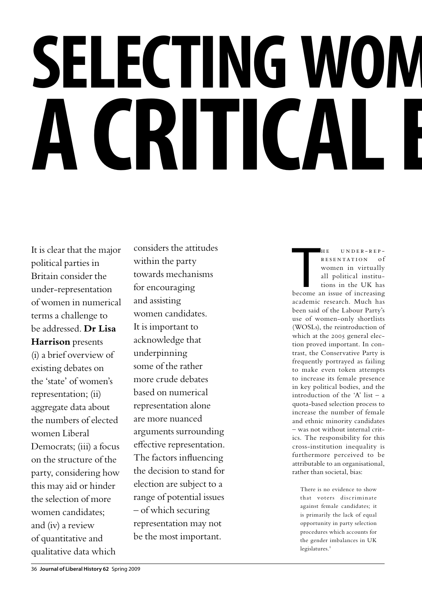# **SELECTING WOM a critical evaluation**

It is clear that the major political parties in Britain consider the under-representation of women in numerical terms a challenge to be addressed. **Dr Lisa Harrison** presents (i) a brief overview of existing debates on the 'state' of women's representation; (ii) aggregate data about the numbers of elected women Liberal Democrats; (iii) a focus on the structure of the party, considering how this may aid or hinder the selection of more women candidates; and (iv) a review of quantitative and qualitative data which

considers the attitudes within the party towards mechanisms for encouraging and assisting women candidates. It is important to acknowledge that underpinning some of the rather more crude debates based on numerical representation alone are more nuanced arguments surrounding effective representation. The factors influencing the decision to stand for election are subject to a range of potential issues – of which securing representation may not be the most important.

HE UNDER-REP-<br>
RESENTATION of<br>
women in virtually<br>
all political institu-<br>
tions in the UK has<br>
become an issue of increasing  $H E$  UNDER-REP-RESENTATION of women in virtually all political institutions in the UK has

academic research. Much has been said of the Labour Party's use of women-only shortlists (WOSLs), the reintroduction of which at the 2005 general election proved important. In contrast, the Conservative Party is frequently portrayed as failing to make even token attempts to increase its female presence in key political bodies, and the introduction of the 'A' list – a quota-based selection process to increase the number of female and ethnic minority candidates – was not without internal critics. The responsibility for this cross-institution inequality is furthermore perceived to be attributable to an organisational, rather than societal, bias:

There is no evidence to show that voters discriminate against female candidates; it is primarily the lack of equal opportunity in party selection procedures which accounts for the gender imbalances in UK  $legislatures.<sup>1</sup>$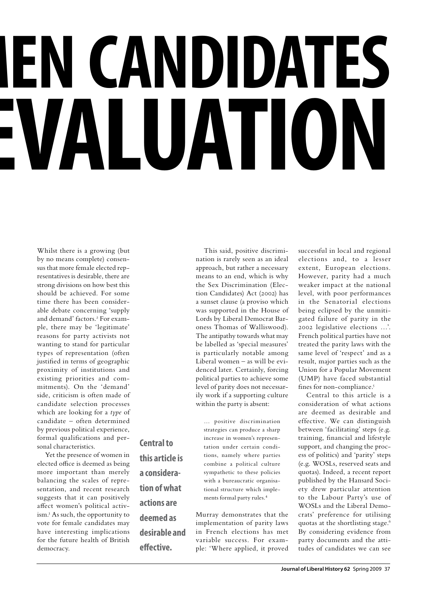## **EN CANDIDATES ALUATIC**

Whilst there is a growing (but by no means complete) consensus that more female elected representatives is desirable, there are strong divisions on how best this should be achieved. For some time there has been considerable debate concerning 'supply and demand' factors.<sup>2</sup> For example, there may be 'legitimate' reasons for party activists not wanting to stand for particular types of representation (often justified in terms of geographic proximity of institutions and existing priorities and commitments). On the 'demand' side, criticism is often made of candidate selection processes which are looking for a *type* of candidate – often determined by previous political experience, formal qualifications and personal characteristics.

Yet the presence of women in elected office is deemed as being more important than merely balancing the scales of representation, and recent research suggests that it can positively affect women's political activism.3 As such, the opportunity to vote for female candidates may have interesting implications for the future health of British democracy.

**Central to** 

**this article is** 

**a considera-**

**tion of what** 

**actions are** 

**deemed as** 

**effective.**

**desirable and** 

This said, positive discrimination is rarely seen as an ideal approach, but rather a necessary means to an end, which is why the Sex Discrimination (Election Candidates) Act (2002) has a sunset clause (a proviso which was supported in the House of Lords by Liberal Democrat Baroness Thomas of Walliswood). The antipathy towards what may be labelled as 'special measures' is particularly notable among Liberal women – as will be evidenced later. Certainly, forcing political parties to achieve some level of parity does not necessarily work if a supporting culture within the party is absent:

> … positive discrimination strategies can produce a sharp increase in women's representation under certain conditions, namely where parties combine a political culture sympathetic to these policies with a bureaucratic organisational structure which implements formal party rules.<sup>4</sup>

Murray demonstrates that the implementation of parity laws in French elections has met variable success. For example: 'Where applied, it proved

successful in local and regional elections and, to a lesser extent, European elections. However, parity had a much weaker impact at the national level, with poor performances in the Senatorial elections being eclipsed by the unmitigated failure of parity in the 2002 legislative elections …'. French political parties have not treated the parity laws with the same level of 'respect' and as a result, major parties such as the Union for a Popular Movement (UMP) have faced substantial fines for non-compliance.<sup>5</sup>

Central to this article is a consideration of what actions are deemed as desirable and effective. We can distinguish between 'facilitating' steps (e.g. training, financial and lifestyle support, and changing the process of politics) and 'parity' steps (e.g. WOSLs, reserved seats and quotas). Indeed, a recent report published by the Hansard Society drew particular attention to the Labour Party's use of WOSLs and the Liberal Democrats' preference for utilising quotas at the shortlisting stage.<sup>6</sup> By considering evidence from party documents and the attitudes of candidates we can see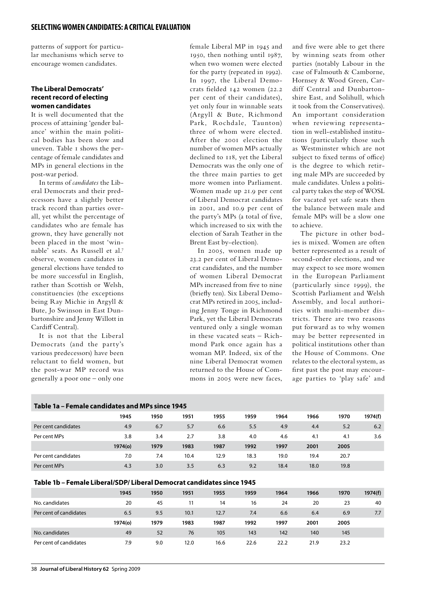patterns of support for particular mechanisms which serve to encourage women candidates.

### **The Liberal Democrats' recent record of electing women candidates**

It is well documented that the process of attaining 'gender balance' within the main political bodies has been slow and uneven. Table 1 shows the percentage of female candidates and MPs in general elections in the post-war period.

In terms of *candidates* the Liberal Democrats and their predecessors have a slightly better track record than parties overall, yet whilst the percentage of candidates who are female has grown, they have generally not been placed in the most 'winnable' seats. As Russell et al.7 observe, women candidates in general elections have tended to be more successful in English, rather than Scottish or Welsh, constituencies (the exceptions being Ray Michie in Argyll & Bute, Jo Swinson in East Dunbartonshire and Jenny Willott in Cardiff Central).

It is not that the Liberal Democrats (and the party's various predecessors) have been reluctant to field women, but the post-war MP record was generally a poor one – only one

female Liberal MP in 1945 and 1950, then nothing until 1987, when two women were elected for the party (repeated in 1992). In 1997, the Liberal Democrats fielded 142 women (22.2 per cent of their candidates), yet only four in winnable seats (Argyll & Bute, Richmond Park, Rochdale, Taunton) three of whom were elected. After the 2001 election the number of women MPs actually declined to 118, yet the Liberal Democrats was the only one of the three main parties to get more women into Parliament. Women made up 21.9 per cent of Liberal Democrat candidates in 2001, and 10.9 per cent of the party's MPs (a total of five, which increased to six with the election of Sarah Teather in the Brent East by-election).

In 2005, women made up 23.2 per cent of Liberal Democrat candidates, and the number of women Liberal Democrat MPs increased from five to nine (briefly ten). Six Liberal Democrat MPs retired in 2005, including Jenny Tonge in Richmond Park, yet the Liberal Democrats ventured only a single woman in these vacated seats – Richmond Park once again has a woman MP. Indeed, six of the nine Liberal Democrat women returned to the House of Commons in 2005 were new faces,

and five were able to get there by winning seats from other parties (notably Labour in the case of Falmouth & Camborne, Hornsey & Wood Green, Cardiff Central and Dunbartonshire East, and Solihull, which it took from the Conservatives). An important consideration when reviewing representation in well-established institutions (particularly those such as Westminster which are not subject to fixed terms of office) is the degree to which retiring male MPs are succeeded by male candidates. Unless a political party takes the step of WOSL for vacated yet safe seats then the balance between male and female MPs will be a slow one to achieve.

The picture in other bodies is mixed. Women are often better represented as a result of second-order elections, and we may expect to see more women in the European Parliament (particularly since 1999), the Scottish Parliament and Welsh Assembly, and local authorities with multi-member districts. There are two reasons put forward as to why women may be better represented in political institutions other than the House of Commons. One relates to the electoral system, as first past the post may encourage parties to 'play safe' and

## **Table 1a – Female candidates and MPs since 1945 1945 1950 1951 1955 1959 1964 1966 1970 1974(f)** Per cent candidates 4.9 6.7 5.7 6.6 5.5 4.9 4.4 5.2 6.2 Per cent MPs 3.8 3.4 2.7 3.8 4.0 4.6 4.1 4.1 3.6 **1974(o) 1979 1983 1987 1992 1997 2001 2005** Per cent candidates 7.0 7.4 10.4 12.9 18.3 19.0 19.4 20.7 Per cent MPs 4.3 3.0 3.5 6.3 9.2 18.4 18.0 19.8

### **Table 1b – Female Liberal/SDP/ Liberal Democrat candidates since 1945**

|                        | 1945    | 1950 | 1951 | 1955 | 1959 | 1964 | 1966 | 1970 | 1974(f) |
|------------------------|---------|------|------|------|------|------|------|------|---------|
| No. candidates         | 20      | 45   |      | 14   | 16   | 24   | 20   | 23   | 40      |
| Per cent of candidates | 6.5     | 9.5  | 10.1 | 12.7 | 7.4  | 6.6  | 6.4  | 6.9  | 7.7     |
|                        | 1974(o) | 1979 | 1983 | 1987 | 1992 | 1997 | 2001 | 2005 |         |
| No. candidates         | 49      | 52   | 76   | 105  | 143  | 142  | 140  | 145  |         |
| Per cent of candidates | 7.9     | 9.0  | 12.0 | 16.6 | 22.6 | 22.2 | 21.9 | 23.2 |         |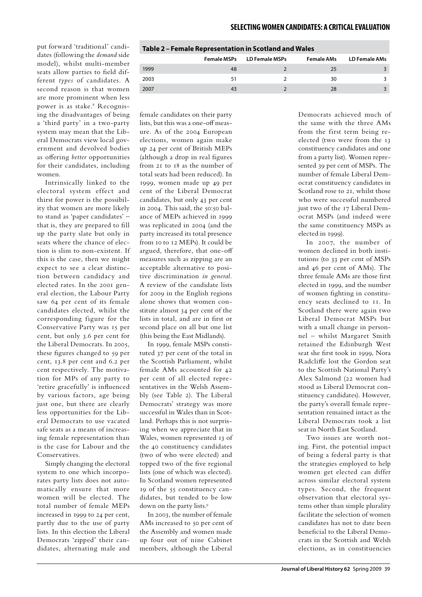**Female MSPs LD Female MSPs Female AMs LD Female AMs**

1999 48 2 25 3 2003 51 2 30 3 2007 **43** 2 28 3

put forward 'traditional' candidates (following the *demand* side model), whilst multi-member seats allow parties to field different *types* of candidates. A second reason is that women are more prominent when less power is as stake.<sup>8</sup> Recognising the disadvantages of being a 'third party' in a two-party system may mean that the Liberal Democrats view local government and devolved bodies as offering *better* opportunities for their candidates, including women.

Intrinsically linked to the electoral system effect and thirst for power is the possibility that women are more likely to stand as 'paper candidates' – that is, they are prepared to fill up the party slate but only in seats where the chance of election is slim to non-existent. If this is the case, then we might expect to see a clear distinction between candidacy and elected rates. In the 2001 general election, the Labour Party saw 64 per cent of its female candidates elected, whilst the corresponding figure for the Conservative Party was 15 per cent, but only 3.6 per cent for the Liberal Democrats. In 2005, these figures changed to 59 per cent, 13.8 per cent and 6.2 per cent respectively. The motivation for MPs of any party to 'retire gracefully' is influenced by various factors, age being just one, but there are clearly less opportunities for the Liberal Democrats to use vacated safe seats as a means of increasing female representation than is the case for Labour and the Conservatives.

Simply changing the electoral system to one which incorporates party lists does not automatically ensure that more women will be elected. The total number of female MEPs increased in 1999 to 24 per cent, partly due to the use of party lists. In this election the Liberal Democrats 'zipped' their candidates, alternating male and

| female candidates on their party    |
|-------------------------------------|
| lists, but this was a one-off meas- |
| ure. As of the 2004 European        |
| elections, women again make         |
| up 24 per cent of British MEPs      |
| (although a drop in real figures    |
| from 21 to 18 as the number of      |
| total seats had been reduced). In   |
| 1999, women made up 49 per          |
| cent of the Liberal Democrat        |
| candidates, but only 43 per cent    |
| in 2004. This said, the 50:50 bal-  |
| ance of MEPs achieved in 1999       |
| was replicated in 2004 (and the     |
| party increased its total presence  |
| from 10 to 12 MEPs). It could be    |
| argued, therefore, that one-off     |
| measures such as zipping are an     |
| acceptable alternative to posi-     |
| tive discrimination in general.     |
| A review of the candidate lists     |
| for 2009 in the English regions     |
| alone shows that women con-         |
| stitute almost 34 per cent of the   |
| lists in total, and are in first or |
| second place on all but one list    |
| (this being the East Midlands).     |

In 1999, female MSPs constituted 37 per cent of the total in the Scottish Parliament, whilst female AMs accounted for 42 per cent of all elected representatives in the Welsh Assembly (see Table 2). The Liberal Democrats' strategy was more successful in Wales than in Scotland. Perhaps this is not surprising when we appreciate that in Wales, women represented 13 of the 40 constituency candidates (two of who were elected) and topped two of the five regional lists (one of which was elected). In Scotland women represented 19 of the 55 constituency candidates, but tended to be low down on the party lists.<sup>9</sup>

In 2003, the number of female AMs increased to 50 per cent of the Assembly and women made up four out of nine Cabinet members, although the Liberal

Democrats achieved much of the same with the three AMs from the first term being reelected (two were from the 13 constituency candidates and one from a party list). Women represented 39 per cent of MSPs. The number of female Liberal Democrat constituency candidates in Scotland rose to 21, whilst those who were successful numbered just two of the 17 Liberal Democrat MSPs (and indeed were the same constituency MSPs as elected in 1999).

In 2007, the number of women declined in both institutions (to 33 per cent of MSPs and 46 per cent of AMs). The three female AMs are those first elected in 1999, and the number of women fighting in constituency seats declined to 11. In Scotland there were again two Liberal Democrat MSPs but with a small change in personnel – whilst Margaret Smith retained the Edinburgh West seat she first took in 1999, Nora Radcliffe lost the Gordon seat to the Scottish National Party's Alex Salmond (22 women had stood as Liberal Democrat constituency candidates). However, the party's overall female representation remained intact as the Liberal Democrats took a list seat in North East Scotland.

Two issues are worth noting. First, the potential impact of being a federal party is that the strategies employed to help women get elected can differ across similar electoral system types. Second, the frequent observation that electoral systems other than simple plurality facilitate the selection of women candidates has not to date been beneficial to the Liberal Democrats in the Scottish and Welsh elections, as in constituencies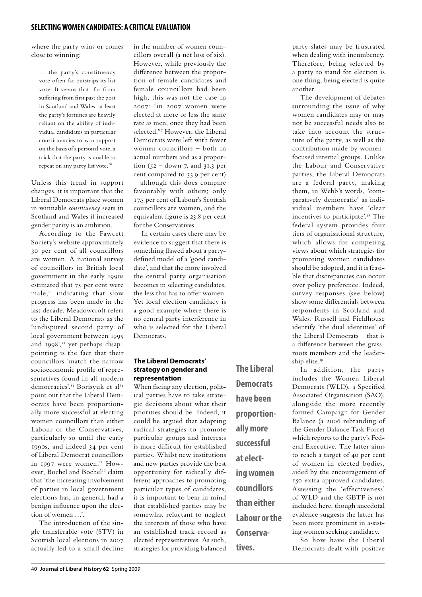where the party wins or comes close to winning:

… the party's constituency vote often far outstrips its list vote. It seems that, far from suffering from first past the post in Scotland and Wales, at least the party's fortunes are heavily reliant on the ability of individual candidates in particular constituencies to win support on the basis of a personal vote, a trick that the party is unable to repeat on any party list vote.<sup>10</sup>

Unless this trend in support changes, it is important that the Liberal Democrats place women in winnable *constituency* seats in Scotland and Wales if increased gender parity is an ambition.

According to the Fawcett Society's website approximately 30 per cent of all councillors are women. A national survey of councillors in British local government in the early 1990s estimated that 75 per cent were male,11 indicating that slow progress has been made in the last decade. Meadowcroft refers to the Liberal Democrats as the 'undisputed second party of local government between 1995 and  $1998$ <sup>',12</sup> yet perhaps disappointing is the fact that their councillors 'match the narrow socioeconomic profile of representatives found in all modern democracies'.<sup>13</sup> Borisyuk et al<sup>14</sup> point out that the Liberal Democrats have been proportionally more successful at electing women councillors than either Labour or the Conservatives, particularly so until the early 1990s, and indeed 34 per cent of Liberal Democrat councillors in 1997 were women.<sup>15</sup> However, Bochel and Bochel<sup>16</sup> claim that 'the increasing involvement of parties in local government elections has, in general, had a benign influence upon the election of women …'.

The introduction of the single transferable vote (STV) in Scottish local elections in 2007 actually led to a small decline in the number of women councillors overall (a net loss of six). However, while previously the difference between the proportion of female candidates and female councillors had been high, this was not the case in 2007: 'in 2007 women were elected at more or less the same rate as men, once they had been selected.'<sup>17</sup> However, the Liberal Democrats were left with fewer women councillors – both in actual numbers and as a proportion  $(52 - down 7, and 31.3 per$ cent compared to 33.9 per cent) – although this does compare favourably with others; only 17.5 per cent of Labour's Scottish councillors are women, and the equivalent figure is 23.8 per cent for the Conservatives.

In certain cases there may be evidence to suggest that there is something flawed about a partydefined model of a 'good candidate', and that the more involved the central party organisation becomes in selecting candidates, the less this has to offer women. Yet local election candidacy is a good example where there is no central party interference in who is selected for the Liberal Democrats.

### **The Liberal Democrats' strategy on gender and representation**

When facing any election, political parties have to take strategic decisions about what their priorities should be. Indeed, it could be argued that adopting radical strategies to promote particular groups and interests is more difficult for established parties. Whilst new institutions and new parties provide the best opportunity for radically different approaches to promoting particular types of candidates, it is important to bear in mind that established parties may be somewhat reluctant to neglect the interests of those who have an established track record as elected representatives. As such, strategies for providing balanced

**The Liberal Democrats have been proportionally more successful at electing women councillors than either Labour or the Conservatives.**

party slates may be frustrated when dealing with incumbency. Therefore, being selected by a party to stand for election is one thing, being elected is quite another.

The development of debates surrounding the issue of why women candidates may or may not be successful needs also to take into account the structure of the party, as well as the contribution made by womenfocused internal groups. Unlike the Labour and Conservative parties, the Liberal Democrats are a federal party, making them, in Webb's words, 'comparatively democratic' as individual members have 'clear incentives to participate'.18 The federal system provides four tiers of organisational structure, which allows for competing views about which strategies for promoting women candidates should be adopted, and it is feasible that discrepancies can occur over policy preference. Indeed, survey responses (see below) show some differentials between respondents in Scotland and Wales. Russell and Fieldhouse identify 'the dual identities' of the Liberal Democrats – that is a difference between the grassroots members and the leadership elite.<sup>19</sup>

In addition, the party includes the Women Liberal Democrats (WLD), a Specified Associated Organisation (SAO), alongside the more recently formed Campaign for Gender Balance (a 2006 rebranding of the Gender Balance Task Force) which reports to the party's Federal Executive. The latter aims to reach a target of 40 per cent of women in elected bodies, aided by the encouragement of 150 extra approved candidates. Assessing the 'effectiveness' of WLD and the GBTF is not included here, though anecdotal evidence suggests the latter has been more prominent in assisting women seeking candidacy.

So how have the Liberal Democrats dealt with positive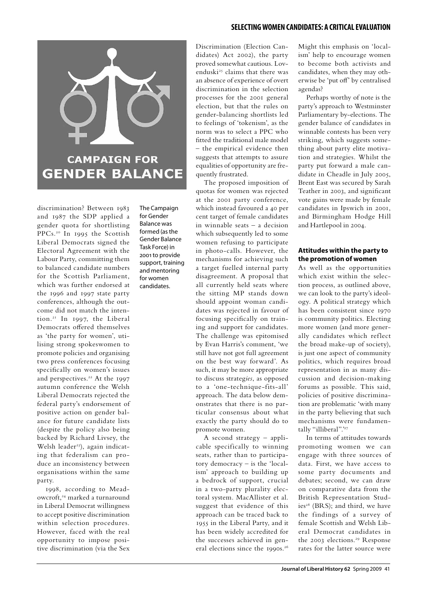

discrimination? Between 1983 and 1987 the SDP applied a gender quota for shortlisting PPCs.20 In 1995 the Scottish Liberal Democrats signed the Electoral Agreement with the Labour Party, committing them to balanced candidate numbers for the Scottish Parliament, which was further endorsed at the 1996 and 1997 state party conferences, although the outcome did not match the intention.21 In 1997, the Liberal Democrats offered themselves as 'the party for women', utilising strong spokeswomen to promote policies and organising two press conferences focusing specifically on women's issues and perspectives.<sup>22</sup> At the 1997 autumn conference the Welsh Liberal Democrats rejected the federal party's endorsement of positive action on gender balance for future candidate lists (despite the policy also being backed by Richard Livsey, the Welsh leader<sup>23</sup>), again indicating that federalism can produce an inconsistency between organisations within the same party.

1998, according to Meadowcroft,<sup>24</sup> marked a turnaround in Liberal Democrat willingness to accept positive discrimination within selection procedures. However, faced with the real opportunity to impose positive discrimination (via the Sex The Campaign for Gender Balance was formed (as the Gender Balance Task Force) in 2001 to provide support, training and mentoring for women candidates.

Discrimination (Election Candidates) Act 2002), the party proved somewhat cautious. Lovenduski<sup>25</sup> claims that there was an absence of experience of overt discrimination in the selection processes for the 2001 general election, but that the rules on gender-balancing shortlists led to feelings of 'tokenism', as the norm was to select a PPC who fitted the traditional male model – the empirical evidence then suggests that attempts to assure equalities of opportunity are frequently frustrated.

The proposed imposition of quotas for women was rejected at the 2001 party conference, which instead favoured a 40 per cent target of female candidates in winnable seats – a decision which subsequently led to some women refusing to participate in photo-calls. However, the mechanisms for achieving such a target fuelled internal party disagreement. A proposal that all currently held seats where the sitting MP stands down should appoint woman candidates was rejected in favour of focusing specifically on training and support for candidates. The challenge was epitomised by Evan Harris's comment, 'we still have not got full agreement on the best way forward'. As such, it may be more appropriate to discuss strateg*ies*, as opposed to a 'one-technique-fits-all' approach. The data below demonstrates that there is no particular consensus about what exactly the party should do to promote women.

A second strategy – applicable specifically to winning seats, rather than to participatory democracy – is the 'localism' approach to building up a bedrock of support, crucial in a two-party plurality electoral system. MacAllister et al. suggest that evidence of this approach can be traced back to 1955 in the Liberal Party, and it has been widely accredited for the successes achieved in general elections since the 1990s.<sup>26</sup>

Might this emphasis on 'localism' help to encourage women to become both activists and candidates, when they may otherwise be 'put off' by centralised agendas?

Perhaps worthy of note is the party's approach to Westminster Parliamentary by-elections. The gender balance of candidates in winnable contests has been very striking, which suggests something about party elite motivation and strategies. Whilst the party put forward a male candidate in Cheadle in July 2005, Brent East was secured by Sarah Teather in 2003, and significant vote gains were made by female candidates in Ipswich in 2001, and Birmingham Hodge Hill and Hartlepool in 2004.

### **Attitudes within the party to the promotion of women**

As well as the opportunities which exist within the selection process, as outlined above, we can look to the party's ideology. A political strategy which has been consistent since 1970 is community politics. Electing more women (and more generally candidates which reflect the broad make-up of society), is just one aspect of community politics, which requires broad representation in as many discussion and decision-making forums as possible. This said, policies of positive discrimination are problematic 'with many in the party believing that such mechanisms were fundamentally "illiberal".'27

In terms of attitudes towards promoting women we can engage with three sources of data. First, we have access to some party documents and debates; second, we can draw on comparative data from the British Representation Studies<sup>28</sup> (BRS); and third, we have the findings of a survey of female Scottish and Welsh Liberal Democrat candidates in the 2003 elections.<sup>29</sup> Response rates for the latter source were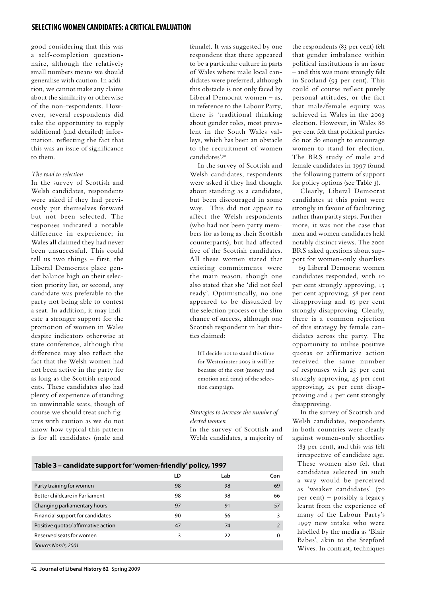good considering that this was a self-completion questionnaire, although the relatively small numbers means we should generalise with caution. In addition, we cannot make any claims about the similarity or otherwise of the non-respondents. However, several respondents did take the opportunity to supply additional (and detailed) information, reflecting the fact that this was an issue of significance to them.

### *The road to selection*

In the survey of Scottish and Welsh candidates, respondents were asked if they had previously put themselves forward but not been selected. The responses indicated a notable difference in experience; in Wales all claimed they had never been unsuccessful. This could tell us two things – first, the Liberal Democrats place gender balance high on their selection priority list, or second, any candidate was preferable to the party not being able to contest a seat. In addition, it may indicate a stronger support for the promotion of women in Wales despite indicators otherwise at state conference, although this difference may also reflect the fact that the Welsh women had not been active in the party for as long as the Scottish respondents. These candidates also had plenty of experience of standing in unwinnable seats, though of course we should treat such figures with caution as we do not know how typical this pattern is for all candidates (male and

female). It was suggested by one respondent that there appeared to be a particular culture in parts of Wales where male local candidates were preferred, although this obstacle is not only faced by Liberal Democrat women – as, in reference to the Labour Party, there is 'traditional thinking about gender roles, most prevalent in the South Wales valleys, which has been an obstacle to the recruitment of women candidates'.30

In the survey of Scottish and Welsh candidates, respondents were asked if they had thought about standing as a candidate, but been discouraged in some way. This did not appear to affect the Welsh respondents (who had not been party members for as long as their Scottish counterparts), but had affected five of the Scottish candidates. All these women stated that existing commitments were the main reason, though one also stated that she 'did not feel ready'. Optimistically, no one appeared to be dissuaded by the selection process or the slim chance of success, although one Scottish respondent in her thirties claimed:

If I decide not to stand this time for Westminster 2005 it will be because of the cost (money and emotion and time) of the selection campaign.

*Strategies to increase the number of elected women*

In the survey of Scottish and Welsh candidates, a majority of

| Table 3 – candidate support for 'women-friendly' policy, 1997 |  |  |
|---------------------------------------------------------------|--|--|

|                                    | LD | Lab | Con      |
|------------------------------------|----|-----|----------|
| Party training for women           | 98 | 98  | 69       |
| Better childcare in Parliament     | 98 | 98  | 66       |
| Changing parliamentary hours       | 97 | 91  | 57       |
| Financial support for candidates   | 90 | 56  | 3        |
| Positive quotas/affirmative action | 47 | 74  |          |
| Reserved seats for women           | 3  | 22  | $\Omega$ |
| Source: Norris, 2001               |    |     |          |

the respondents (83 per cent) felt that gender imbalance within political institutions is an issue – and this was more strongly felt in Scotland (93 per cent). This could of course reflect purely personal attitudes, or the fact that male/female equity was achieved in Wales in the 2003 election. However, in Wales 86 per cent felt that political parties do not do enough to encourage women to stand for election. The BRS study of male and female candidates in 1997 found the following pattern of support for policy options (see Table 3).

Clearly, Liberal Democrat candidates at this point were strongly in favour of facilitating rather than parity steps. Furthermore, it was not the case that men and women candidates held notably distinct views. The 2001 BRS asked questions about support for women-only shortlists – 69 Liberal Democrat women candidates responded, with 10 per cent strongly approving, 13 per cent approving, 58 per cent disapproving and 19 per cent strongly disapproving. Clearly, there is a common rejection of this strategy by female candidates across the party. The opportunity to utilise positive quotas or affirmative action received the same number of responses with 25 per cent strongly approving, 45 per cent approving, 25 per cent disapproving and 4 per cent strongly disapproving.

In the survey of Scottish and Welsh candidates, respondents in both countries were clearly against women-only shortlists

(83 per cent), and this was felt irrespective of candidate age. These women also felt that candidates selected in such a way would be perceived as 'weaker candidates' (70 per cent) – possibly a legacy learnt from the experience of many of the Labour Party's 1997 new intake who were labelled by the media as 'Blair Babes', akin to the Stepford Wives. In contrast, techniques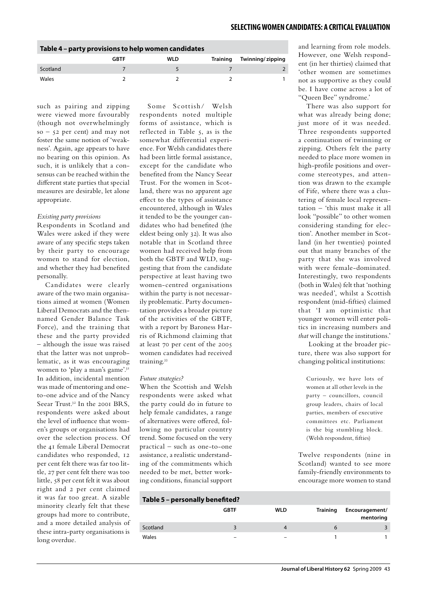| Table 4 - party provisions to help women candidates |      |     |                 |                  |  |
|-----------------------------------------------------|------|-----|-----------------|------------------|--|
|                                                     | GBTF | WLD | <b>Training</b> | Twinning/zipping |  |
| Scotland                                            |      |     |                 |                  |  |
| Wales                                               |      |     |                 |                  |  |

such as pairing and zipping were viewed more favourably (though not overwhelmingly  $so - 52$  per cent) and may not foster the same notion of 'weakness'. Again, age appears to have no bearing on this opinion. As such, it is unlikely that a consensus can be reached within the different state parties that special measures are desirable, let alone appropriate.

### *Existing party provisions*

Respondents in Scotland and Wales were asked if they were aware of any specific steps taken by their party to encourage women to stand for election, and whether they had benefited personally.

Candidates were clearly aware of the two main organisations aimed at women (Women Liberal Democrats and the thennamed Gender Balance Task Force), and the training that these and the party provided – although the issue was raised that the latter was not unproblematic, as it was encouraging women to 'play a man's game'.<sup>31</sup> In addition, incidental mention was made of mentoring and oneto-one advice and of the Nancy Seear Trust.<sup>32</sup> In the 2001 BRS, respondents were asked about the level of influence that women's groups or organisations had over the selection process. Of the 41 female Liberal Democrat candidates who responded, 12 per cent felt there was far too little, 27 per cent felt there was too little, 58 per cent felt it was about right and 2 per cent claimed it was far too great. A sizable minority clearly felt that these groups had more to contribute, and a more detailed analysis of these intra-party organisations is long overdue.

Some Scottish/ Welsh respondents noted multiple forms of assistance, which is reflected in Table 5, as is the somewhat differential experience. For Welsh candidates there had been little formal assistance, except for the candidate who benefited from the Nancy Seear Trust. For the women in Scotland, there was no apparent age effect to the types of assistance encountered, although in Wales it tended to be the younger candidates who had benefited (the eldest being only 32). It was also notable that in Scotland three women had received help from both the GBTF and WLD, suggesting that from the candidate perspective at least having two women-centred organisations within the party is not necessarily problematic. Party documentation provides a broader picture of the activities of the GBTF, with a report by Baroness Harris of Richmond claiming that at least 70 per cent of the 2005 women candidates had received training.33

### *Future strategies?*

When the Scottish and Welsh respondents were asked what the party could do in future to help female candidates, a range of alternatives were offered, following no particular country trend. Some focused on the very practical – such as one-to-one assistance, a realistic understanding of the commitments which needed to be met, better working conditions, financial support

| Table 5 - personally benefited? |  |  |  |
|---------------------------------|--|--|--|
|---------------------------------|--|--|--|

|          | <b>GBTF</b>              | WLD                      | <b>Training</b> | Encouragement/<br>mentoring |
|----------|--------------------------|--------------------------|-----------------|-----------------------------|
| Scotland |                          |                          |                 |                             |
| Wales    | $\overline{\phantom{0}}$ | $\overline{\phantom{0}}$ |                 |                             |

and learning from role models. However, one Welsh respondent (in her thirties) claimed that 'other women are sometimes not as supportive as they could be. I have come across a lot of "Queen Bee" syndrome.'

There was also support for what was already being done; just more of it was needed. Three respondents supported a continuation of twinning or zipping. Others felt the party needed to place more women in high-profile positions and overcome stereotypes, and attention was drawn to the example of Fife, where there was a clustering of female local representation – 'this must make it all look "possible" to other women considering standing for election'. Another member in Scotland (in her twenties) pointed out that many branches of the party that she was involved with were female-dominated. Interestingly, two respondents (both in Wales) felt that 'nothing was needed', whilst a Scottish respondent (mid-fifties) claimed that 'I am optimistic that younger women will enter politics in increasing numbers and *that* will change the institutions.'

 Looking at the broader picture, there was also support for changing political institutions:

Curiously, we have lots of women at all other levels in the party – councillors, council group leaders, chairs of local parties, members of executive committees etc. Parliament is the big stumbling block. (Welsh respondent, fifties)

Twelve respondents (nine in Scotland) wanted to see more family-friendly environments to encourage more women to stand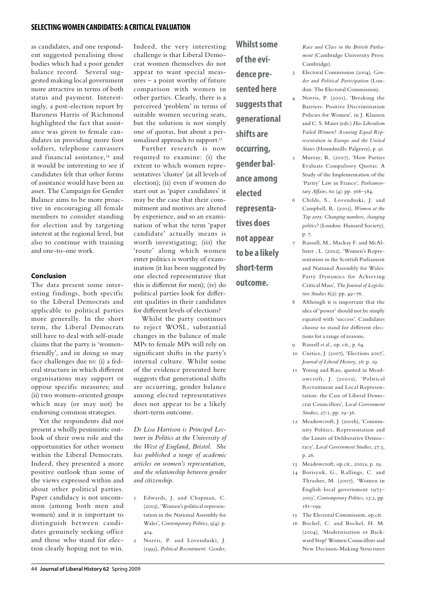as candidates, and one respondent suggested penalising those bodies which had a poor gender balance record. Several suggested making local government more attractive in terms of both status and payment. Interestingly, a post-election report by Baroness Harris of Richmond highlighted the fact that assistance was given to female candidates in providing more foot soldiers, telephone canvassers and financial assistance,34 and it would be interesting to see if candidates felt that other forms of assistance would have been an asset. The Campaign for Gender Balance aims to be more proactive in encouraging all female members to consider standing for election and by targeting interest at the regional level, but also to continue with training and one-to-one work.

### **Conclusion**

The data present some interesting findings, both specific to the Liberal Democrats and applicable to political parties more generally. In the short term, the Liberal Democrats still have to deal with self-made claims that the party is 'womenfriendly', and in doing so may face challenges due to: (i) a federal structure in which different organisations may support or oppose specific measures; and (ii) two women-oriented groups which may (or may not) be endorsing common strategies.

Yet the respondents did not present a wholly pessimistic outlook of their own role and the opportunities for other women within the Liberal Democrats. Indeed, they presented a more positive outlook than some of the views expressed within and about other political parties. Paper candidacy is not uncommon (among both men and women) and it is important to distinguish between candidates genuinely seeking office and those who stand for election clearly hoping not to win.

Indeed, the very interesting challenge is that Liberal Democrat women themselves do not appear to want special measures – a point worthy of future comparison with women in other parties. Clearly, there is a perceived 'problem' in terms of suitable women securing seats, but the solution is not simply one of quotas, but about a personalised approach to support.<sup>35</sup>

Further research is now required to examine: (i) the extent to which women representatives 'cluster' (at all levels of election); (ii) even if women do start out as 'paper candidates' it may be the case that their commitment and motives are altered by experience, and so an examination of what the term 'paper candidate' actually means is worth investigating; (iii) the 'route' along which women enter politics is worthy of examination (it has been suggested by one elected representative that this is different for men); (iv) do political parties look for different qualities in their candidates for different levels of elections?

Whilst the party continues to reject WOSL, substantial changes in the balance of male MPs to female MPs will rely on significant shifts in the party's internal culture. Whilst some of the evidence presented here suggests that generational shifts are occurring, gender balance among elected representatives does not appear to be a likely short-term outcome.

*Dr Lisa Harrison is Principal Lecturer in Politics at the University of the West of England, Bristol. She has published a range of academic articles on women's representation, and the relationship between gender and citizenship.*

- 1 Edwards, J. and Chapman, C. (2003), 'Women's political representation in the National Assembly for Wales', *Contemporary Politics*, 9(4): p. 404.
- 2 Norris, P. and Lovenduski, J. (1995), *Political Recruitment: Gender,*

**of the evidence presented here suggests that generational shifts are occurring, gender balance among elected representatives does not appear to be a likely short-term outcome.**

**Whilst some** 

*Race and Class in the British Parliament* (Cambridge University Press: Cambridge).

- 3 Electoral Commission (2004), *Gender and Political Participation* (London: The Electoral Commission).
- 4 Norris, P. (2001), 'Breaking the Barriers: Positive Discrimination Policies for Women', in J. Klausen and C. S. Maier (eds.) *Has Liberalism Failed Women? Assuring Equal Representation in Europe and the United States* (Houndmills: Palgrave), p. 91.
- 5 Murray, R. (2007), 'How Parties Evaluate Compulsory Quotas: A Study of the Implementation of the 'Parity' Law in France', *Parliamentary Affairs*, 60 (4): pp. 568–584.
- 6 Childs, S., Lovenduski, J. and Campbell, R. (2005), *Women at the Top 2005: Changing numbers, changing politics?* (London: Hansard Society), p. 7.
- 7 Russell, M., Mackay F. and McAllister , L. (2002), 'Women's Representation in the Scottish Parliament and National Assembly for Wales: Party Dynamics for Achieving Critical Mass', *The Journal of Legislative Studies* 8(2): pp. 49–76.
- 8 Although it is important that the idea of 'power' should not be simply equated with 'success'. Candidates choose to stand for different elections for a range of reasons.
- 9 Russell *et al.*, op. cit., p. 64.
- 10 Curtice, J. (2007), 'Elections 2007', *Journal of Liberal History*, 56: p. 19.
- 11 Young and Rao, quoted in Meadowcroft, J. (2001a), 'Political Recruitment and Local Representation: the Case of Liberal Democrat Councillors', *Local Government Studies*, 27:1, pp. 19–36.
- 12 Meadowcroft, J. (2001b), 'Community Politics, Representation and the Limits of Deliberative Democracy', *Local Government Studies*, 27:3, p. 26.
- 13 Meadowcroft, op.cit., 2001a, p. 19.
- 14 Borisyuk, G., Rallings, C. and Thrasher, M. (2007), 'Women in English local government 1973– 2003', *Contemporary Politics*, 13:2, pp. 181–199.
- 15 The Electoral Commission, op.cit.
- 16 Bochel, C. and Bochel, H. M. (2004), 'Modernisation or Backward Step? Women Councillors and New Decision-Making Structures